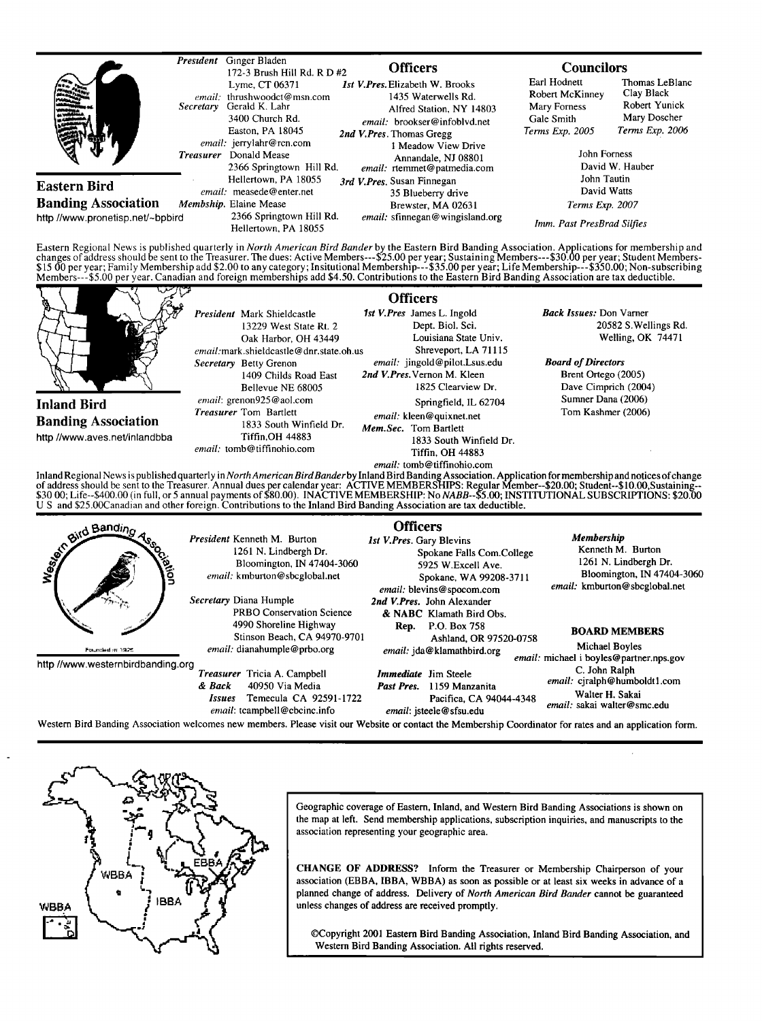|                                  | Secretary<br><b>Treasurer</b> | President Ginger Bladen<br>172-3 Brush Hill Rd. R D #2<br>Lyme, CT 06371<br>email: thrushwoodct@msn.com<br>Gerald K. Lahr<br>3400 Church Rd.<br>Easton, PA 18045<br>email: jerrylahr@rcn.com<br>Donald Mease<br>2366 Springtown Hill Rd. |  | <b>Officers</b><br><b>Ist V.Pres. Elizabeth W. Brooks</b><br>1435 Waterwells Rd.<br>Alfred Station, NY 14803<br>email: brookser@infoblyd.net<br>2nd V.Pres. Thomas Gregg<br>1 Meadow View Drive<br>Annandale, NJ 08801<br>email: rtemmet@patmedia.com | <b>Councilors</b><br>Earl Hodnett<br>Robert McKinney<br>Mary Forness<br>Gale Smith<br>Terms Exp. 2005<br>John Forness | Thomas LeBlanc<br>Clay Black<br>Robert Yunick<br>Mary Doscher<br>Terms Exp. 2006<br>David W. Hauber |
|----------------------------------|-------------------------------|------------------------------------------------------------------------------------------------------------------------------------------------------------------------------------------------------------------------------------------|--|-------------------------------------------------------------------------------------------------------------------------------------------------------------------------------------------------------------------------------------------------------|-----------------------------------------------------------------------------------------------------------------------|-----------------------------------------------------------------------------------------------------|
| <b>Eastern Bird</b>              |                               | Hellertown, PA 18055<br>email: measede@enter.net                                                                                                                                                                                         |  | 3rd V. Pres. Susan Finnegan<br>35 Blueberry drive<br>Brewster, MA 02631                                                                                                                                                                               | John Tautin<br>David Watts                                                                                            |                                                                                                     |
| <b>Banding Association</b>       |                               | Membship. Elaine Mease                                                                                                                                                                                                                   |  |                                                                                                                                                                                                                                                       | Terms Exp. 2007                                                                                                       |                                                                                                     |
| http //www.pronetisp.net/~bpbird |                               | 2366 Springtown Hill Rd.<br>Hellertown, PA 18055                                                                                                                                                                                         |  | email: sfinnegan@wingisland.org                                                                                                                                                                                                                       | Imm. Past PresBrad Silfies                                                                                            |                                                                                                     |

Eastern Regional News is published quarterly in *North American Bird Bander* by the Eastern Bird Banding Association. Applications for membership and<br>changes of address should be sent to the Treasurer. The dues: Active Mem



**Treasurer Tricia A. Campbell & Back 40950 Via Media Issues Temecula CA 92591-1722 entail: tcampbell @cbcinc.info** 

**Immediate** Jim Steele C. John Ralph **C. John Ralph C. John Ralph C. John Ralph C. Part Represent C. Part Represent List email: cjralph @ humboldt Pres.** 1159 Manzanita **Past Pres.** 1159 Manzanita **Past Pres.** 2.2. **Part Press.** 2.2. **Part Press.** 2.2. **Part Press.** 2.2. **Part Press.** 2.2. **Part Press.** 2.2. **Part Press.** 2.2. **Part Press.** 

**email: jsteele @ sfsu.edu** 

Western Bird Banding Association welcomes new members. Please visit our Website or contact the Membership Coordinator for rates and an application form.



**Geographic coverage of Eastern, Inland, and Western Bird Banding Associations is shown on**  the map at left. Send membership applications, subscription inquiries, and manuscripts to the **association representing your geographic area.** 

CHANGE OF ADDRESS? Inform the Treasurer or Membership Chairperson of your **association (EBBA, IBBA, WBBA) as soon as possible or at least six weeks in advance of a planned change of address. Delivery of North American Bird Bander cannot be guaranteed unless changes of address are received promptly.** 

**¸Copyright 2001 Eastern Bird Banding Association, Inland Bird Banding Association, and Western Bird Banding Association. All rights reserved.** 

**Pacifica, CA 94044-4348 Walter H. Sakai email: sakai walter@smc.edu**